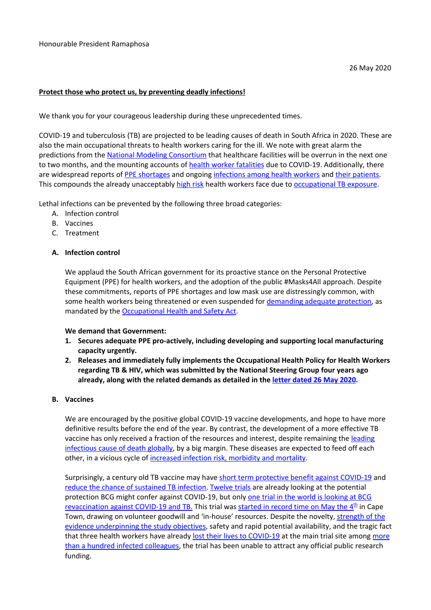### **Protect those who protect us, by preventing deadly infections!**

We thank you for your courageous leadership during these unprecedented times.

COVID-19 and tuberculosis (TB) are projected to be leading causes of death in South Africa in 2020. These are also the main occupational threats to health workers caring for the ill. We note with great alarm the predictions from the National Modeling [Consortium](https://www.medicalbrief.co.za/archives/sas-worst-case-covid-model-no-icu-beds-by-june-48000-deaths-by-november/) that healthcare facilities will be overrun in the next one to two months, and the mounting accounts of health worker [fatalities](https://ewn.co.za/2020/05/22/3-more-health-workers-die-from-covid-19-this-week) due to COVID-19. Additionally, there are widespread reports of PPE [shortages](https://mg.co.za/article/2020-04-23-eastern-capes-ppe-shortage-endangers-healthcare-workers/) and ongoing [infections](https://www.capetownetc.com/news/500-healthcare-workers-tested-postive-for-covid-19-2-died/) among health workers and their [patients.](https://www.news24.com/SouthAfrica/News/between-two-devils-why-hospitals-must-act-fast-to-prevent-health-worker-deaths-from-covid-19-20200525) This compounds the already unacceptably [high](https://www.ncbi.nlm.nih.gov/pmc/articles/PMC3074259/) risk health workers face due to [occupational](https://www.ncbi.nlm.nih.gov/pubmed/29702035) TB exposure.

Lethal infections can be prevented by the following three broad categories:

- A. Infection control
- B. Vaccines
- C. Treatment

## **A. Infection control**

We applaud the South African government for its proactive stance on the Personal Protective Equipment (PPE) for health workers, and the adoption of the public #Masks4All approach. Despite these commitments, reports of PPE shortages and low mask use are distressingly common, with some health workers being threatened or even suspended for [demanding](http://www.sajbl.org.za/index.php/sajbl/article/view/628) adequate protection, as mandated by the [Occupational](https://www.gov.za/documents/occupational-health-and-safety-act) Health and Safety Act.

### **We demand that Government:**

- **1. Secures adequate PPE pro-actively, including developing and supporting local manufacturing capacity urgently.**
- **2. Releases and immediately fully implements the Occupational Health Policy for Health Workers regarding TB & HIV, which was submitted by the National Steering Group four years ago already, along with the related demands as detailed in the letter [dated](https://docs.google.com/document/d/1e7my-rQegmzIGDSSh020HHvHwwNZsyOh3nWAGag56w0/edit?usp=sharing) 26 May 2020.**

### **B. Vaccines**

We are encouraged by the positive global COVID-19 vaccine developments, and hope to have more definitive results before the end of the year. By contrast, the development of a more effective TB vaccine has only received a fraction of the resources and interest, despite remaining the [leading](https://www.who.int/tb/publications/global_report/en/) [infectious](https://www.who.int/tb/publications/global_report/en/) cause of death globally, by a big margin. These diseases are expected to feed off each other, in a vicious cycle of increased infection risk, [morbidity](https://www.theunion.org/news-centre/covid-19/covid-tb-faqs-version-2) and mortality.

Surprisingly, a century old TB vaccine may have short term [protective](https://www.nature.com/articles/s41577-020-0337-y) benefit against COVID-19 and reduce the chance of [sustained](https://www.nejm.org/doi/full/10.1056/NEJMoa1714021) TB infection. [Twelve](https://www.clinicaltrials.gov/ct2/results?cond=COVID&term=BCG&cntry=&state=&city=&dist=) trials are already looking at the potential protection BCG might confer against COVID-19, but only one [trial](https://www.clinicaltrials.gov/ct2/show/NCT04379336?term=BCG&cond=COVID&draw=2&rank=3) in the world is looking at BCG revaccination against COVID-19 and TB. This trial was [started](https://www.dw.com/en/could-a-tuberculosis-vaccine-guard-against-the-covid-19/av-53372653) in record time on May [th](https://www.dw.com/en/could-a-tuberculosis-vaccine-guard-against-the-covid-19/av-53372653)e 4<sup>th</sup> in Cape Town, drawing on volunteer goodwill and 'in-house' resources. Despite the novelty, [strength](https://www.thelancet.com/journals/lancet/article/PIIS0140-6736(20)31025-4/fulltext) of the evidence [underpinning](https://www.thelancet.com/journals/lancet/article/PIIS0140-6736(20)31025-4/fulltext) the study objectives, safety and rapid potential availability, and the tragic fact that three health workers have already lost their lives to [COVID-19](https://m.news24.com/SouthAfrica/News/covid-19-2-more-healthcare-workers-die-in-the-western-cape-20200522) at the main trial site among [more](https://www.iol.co.za/news/south-africa/western-cape/105-tygerberg-hospital-staff-test-positive-for-covid-19-48330664) than a hundred infected [colleagues,](https://www.iol.co.za/news/south-africa/western-cape/105-tygerberg-hospital-staff-test-positive-for-covid-19-48330664) the trial has been unable to attract any official public research funding.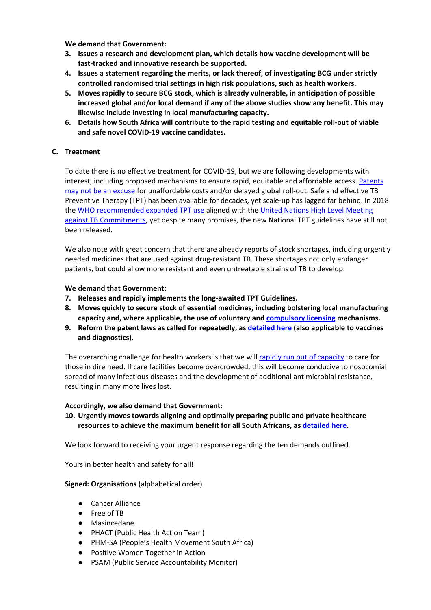**We demand that Government:**

- **3. Issues a research and development plan, which details how vaccine development will be fast-tracked and innovative research be supported.**
- **4. Issues a statement regarding the merits, or lack thereof, of investigating BCG under strictly controlled randomised trial settings in high risk populations, such as health workers.**
- **5. Moves rapidly to secure BCG stock, which is already vulnerable, in anticipation of possible increased global and/or local demand if any of the above studies show any benefit. This may likewise include investing in local manufacturing capacity.**
- **6. Details how South Africa will contribute to the rapid testing and equitable roll-out of viable and safe novel COVID-19 vaccine candidates.**

## **C. Treatment**

To date there is no effective treatment for COVID-19, but we are following developments with interest, including proposed mechanisms to ensure rapid, equitable and affordable access. [Patents](http://section27.org.za/2020/05/south-africas-patent-laws-threaten-access-to-future-covid-19-medicines/) may not be an [excuse](http://section27.org.za/2020/05/south-africas-patent-laws-threaten-access-to-future-covid-19-medicines/) for unaffordable costs and/or delayed global roll-out. Safe and effective TB Preventive Therapy (TPT) has been available for decades, yet scale-up has lagged far behind. In 2018 the WHO [recommended](https://www.who.int/tb/features_archive/WHO_recommendations_TB_prevention/en/) expanded TPT use aligned with the United Nations High Level [Meeting](http://www.stoptb.org/global/advocacy/unhlm_targets.asp) against TB [Commitments,](http://www.stoptb.org/global/advocacy/unhlm_targets.asp) yet despite many promises, the new National TPT guidelines have still not been released.

We also note with great concern that there are already reports of stock shortages, including urgently needed medicines that are used against drug-resistant TB. These shortages not only endanger patients, but could allow more resistant and even untreatable strains of TB to develop.

### **We demand that Government:**

- **7. Releases and rapidly implements the long-awaited TPT Guidelines.**
- **8. Moves quickly to secure stock of essential medicines, including bolstering local manufacturing capacity and, where applicable, the use of voluntary and [compulsory](https://www.wto.org/english/tratop_e/trips_e/public_health_faq_e.htm) licensing mechanisms.**
- **9. Reform the patent laws as called for repeatedly, as [detailed](https://www.fixthepatentlaws.org/south-africas-patent-laws-threaten-access-to-future-covid-19-medicines/) here (also applicable to vaccines and diagnostics).**

The overarching challenge for health workers is that we will rapidly run out of [capacity](https://www.youtube.com/watch?v=xtJTfNdCJnw) to care for those in dire need. If care facilities become overcrowded, this will become conducive to nosocomial spread of many infectious diseases and the development of additional antimicrobial resistance, resulting in many more lives lost.

### **Accordingly, we also demand that Government:**

# **10. Urgently moves towards aligning and optimally preparing public and private healthcare resources to achieve the maximum benefit for all South Africans, as [detailed](http://section27.org.za/2020/05/media-statement-civil-society-organisations-call-for-principled-contracting-with-private-sector-in-the-covid-19-health-response-as-well-as-more-coordination-and-transparency/) here.**

We look forward to receiving your urgent response regarding the ten demands outlined.

Yours in better health and safety for all!

### **Signed: Organisations** (alphabetical order)

- Cancer Alliance
- Free of TB
- Masincedane
- PHACT (Public Health Action Team)
- PHM-SA (People's Health Movement South Africa)
- Positive Women Together in Action
- PSAM (Public Service Accountability Monitor)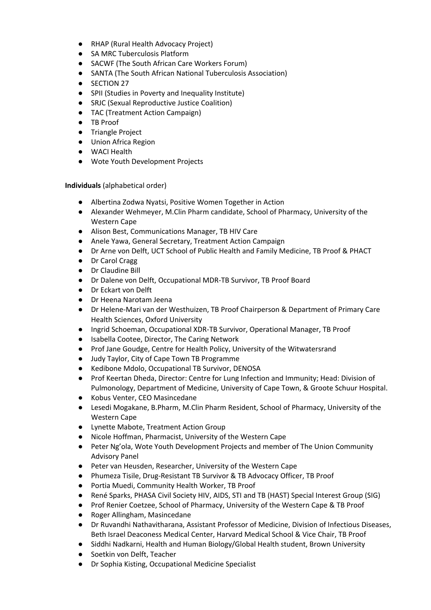- RHAP (Rural Health Advocacy Project)
- SA MRC Tuberculosis Platform
- SACWF (The South African Care Workers Forum)
- SANTA (The South African National Tuberculosis Association)
- **SECTION 27**
- SPII (Studies in Poverty and Inequality Institute)
- SRJC (Sexual Reproductive Justice Coalition)
- TAC (Treatment Action Campaign)
- TB Proof
- Triangle Project
- Union Africa Region
- WACI Health
- Wote Youth Development Projects

**Individuals** (alphabetical order)

- Albertina Zodwa Nyatsi, Positive Women Together in Action
- Alexander Wehmeyer, M.Clin Pharm candidate, School of Pharmacy, University of the Western Cape
- Alison Best, Communications Manager, TB HIV Care
- Anele Yawa, General Secretary, Treatment Action Campaign
- Dr Arne von Delft, UCT School of Public Health and Family Medicine, TB Proof & PHACT
- Dr Carol Cragg
- Dr Claudine Bill
- Dr Dalene von Delft, Occupational MDR-TB Survivor, TB Proof Board
- Dr Eckart von Delft
- Dr Heena Narotam Jeena
- Dr Helene-Mari van der Westhuizen, TB Proof Chairperson & Department of Primary Care Health Sciences, Oxford University
- Ingrid Schoeman, Occupational XDR-TB Survivor, Operational Manager, TB Proof
- Isabella Cootee, Director, The Caring Network
- Prof Jane Goudge, Centre for Health Policy, University of the Witwatersrand
- Judy Taylor, City of Cape Town TB Programme
- Kedibone Mdolo, Occupational TB Survivor, DENOSA
- Prof Keertan Dheda, Director: Centre for Lung Infection and Immunity; Head: Division of Pulmonology, Department of Medicine, University of Cape Town, & Groote Schuur Hospital.
- Kobus Venter, CEO Masincedane
- Lesedi Mogakane, B.Pharm, M.Clin Pharm Resident, School of Pharmacy, University of the Western Cape
- Lynette Mabote, Treatment Action Group
- Nicole Hoffman, Pharmacist, University of the Western Cape
- Peter Ng'ola, Wote Youth Development Projects and member of The Union Community Advisory Panel
- Peter van Heusden, Researcher, University of the Western Cape
- Phumeza Tisile, Drug-Resistant TB Survivor & TB Advocacy Officer, TB Proof
- Portia Muedi, Community Health Worker, TB Proof
- René Sparks, PHASA Civil Society HIV, AIDS, STI and TB (HAST) Special Interest Group (SIG)
- Prof Renier Coetzee, School of Pharmacy, University of the Western Cape & TB Proof
- Roger Allingham, Masincedane
- Dr Ruvandhi Nathavitharana, Assistant Professor of Medicine, Division of Infectious Diseases, Beth Israel Deaconess Medical Center, Harvard Medical School & Vice Chair, TB Proof
- Siddhi Nadkarni, Health and Human Biology/Global Health student, Brown University
- Soetkin von Delft, Teacher
- Dr Sophia Kisting, Occupational Medicine Specialist